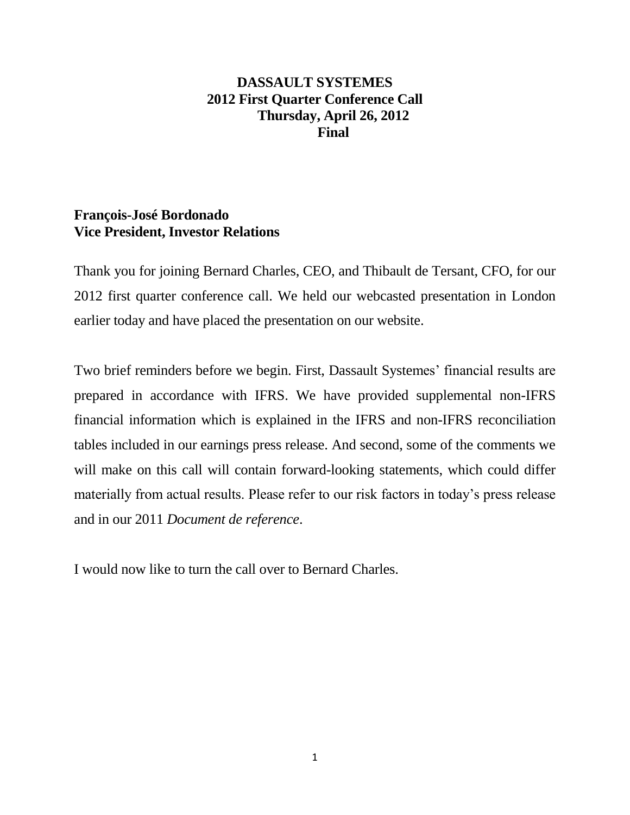# **DASSAULT SYSTEMES 2012 First Quarter Conference Call Thursday, April 26, 2012 Final**

# **François-José Bordonado Vice President, Investor Relations**

Thank you for joining Bernard Charles, CEO, and Thibault de Tersant, CFO, for our 2012 first quarter conference call. We held our webcasted presentation in London earlier today and have placed the presentation on our website.

Two brief reminders before we begin. First, Dassault Systemes' financial results are prepared in accordance with IFRS. We have provided supplemental non-IFRS financial information which is explained in the IFRS and non-IFRS reconciliation tables included in our earnings press release. And second, some of the comments we will make on this call will contain forward-looking statements, which could differ materially from actual results. Please refer to our risk factors in today's press release and in our 2011 *Document de reference*.

I would now like to turn the call over to Bernard Charles.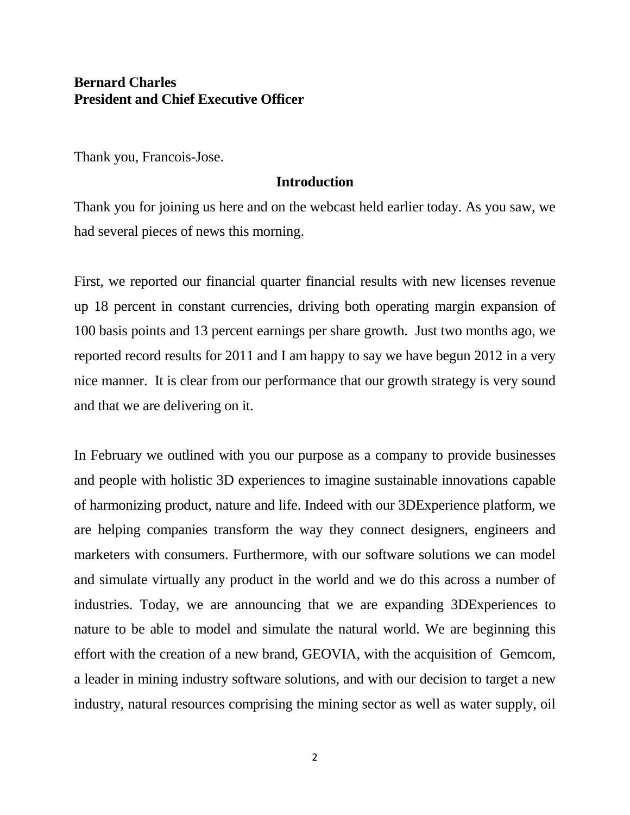# **Bernard Charles President and Chief Executive Officer**

Thank you, Francois-Jose.

## **Introduction**

Thank you for joining us here and on the webcast held earlier today. As you saw, we had several pieces of news this morning.

First, we reported our financial quarter financial results with new licenses revenue up 18 percent in constant currencies, driving both operating margin expansion of 100 basis points and 13 percent earnings per share growth. Just two months ago, we reported record results for 2011 and I am happy to say we have begun 2012 in a very nice manner. It is clear from our performance that our growth strategy is very sound and that we are delivering on it.

In February we outlined with you our purpose as a company to provide businesses and people with holistic 3D experiences to imagine sustainable innovations capable of harmonizing product, nature and life. Indeed with our 3DExperience platform, we are helping companies transform the way they connect designers, engineers and marketers with consumers. Furthermore, with our software solutions we can model and simulate virtually any product in the world and we do this across a number of industries. Today, we are announcing that we are expanding 3DExperiences to nature to be able to model and simulate the natural world. We are beginning this effort with the creation of a new brand, GEOVIA, with the acquisition of Gemcom, a leader in mining industry software solutions, and with our decision to target a new industry, natural resources comprising the mining sector as well as water supply, oil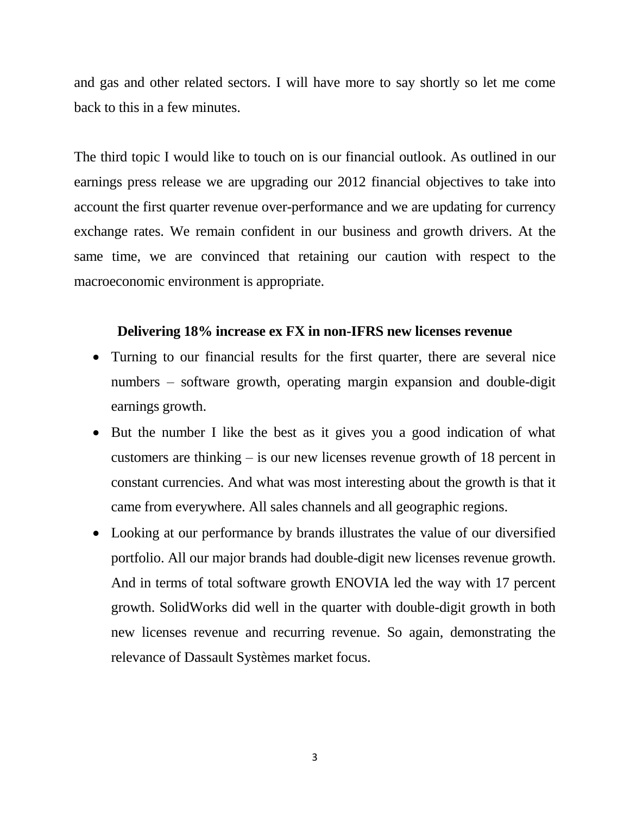and gas and other related sectors. I will have more to say shortly so let me come back to this in a few minutes.

The third topic I would like to touch on is our financial outlook. As outlined in our earnings press release we are upgrading our 2012 financial objectives to take into account the first quarter revenue over-performance and we are updating for currency exchange rates. We remain confident in our business and growth drivers. At the same time, we are convinced that retaining our caution with respect to the macroeconomic environment is appropriate.

# **Delivering 18% increase ex FX in non-IFRS new licenses revenue**

- Turning to our financial results for the first quarter, there are several nice numbers – software growth, operating margin expansion and double-digit earnings growth.
- But the number I like the best as it gives you a good indication of what customers are thinking – is our new licenses revenue growth of 18 percent in constant currencies. And what was most interesting about the growth is that it came from everywhere. All sales channels and all geographic regions.
- Looking at our performance by brands illustrates the value of our diversified portfolio. All our major brands had double-digit new licenses revenue growth. And in terms of total software growth ENOVIA led the way with 17 percent growth. SolidWorks did well in the quarter with double-digit growth in both new licenses revenue and recurring revenue. So again, demonstrating the relevance of Dassault Systèmes market focus.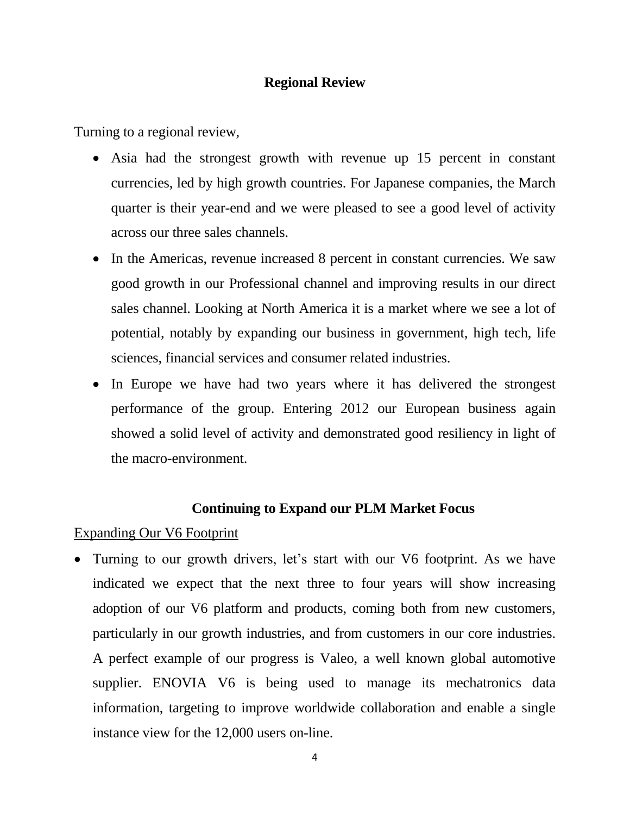## **Regional Review**

Turning to a regional review,

- Asia had the strongest growth with revenue up 15 percent in constant currencies, led by high growth countries. For Japanese companies, the March quarter is their year-end and we were pleased to see a good level of activity across our three sales channels.
- In the Americas, revenue increased 8 percent in constant currencies. We saw good growth in our Professional channel and improving results in our direct sales channel. Looking at North America it is a market where we see a lot of potential, notably by expanding our business in government, high tech, life sciences, financial services and consumer related industries.
- In Europe we have had two years where it has delivered the strongest performance of the group. Entering 2012 our European business again showed a solid level of activity and demonstrated good resiliency in light of the macro-environment.

# **Continuing to Expand our PLM Market Focus**

Expanding Our V6 Footprint

• Turning to our growth drivers, let's start with our V6 footprint. As we have indicated we expect that the next three to four years will show increasing adoption of our V6 platform and products, coming both from new customers, particularly in our growth industries, and from customers in our core industries. A perfect example of our progress is Valeo, a well known global automotive supplier. ENOVIA V6 is being used to manage its mechatronics data information, targeting to improve worldwide collaboration and enable a single instance view for the 12,000 users on-line.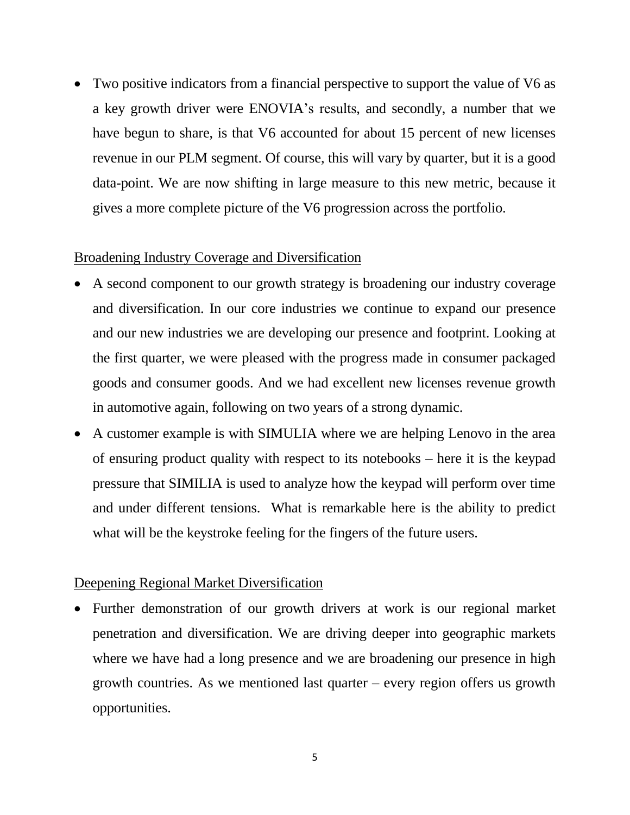Two positive indicators from a financial perspective to support the value of V6 as a key growth driver were ENOVIA's results, and secondly, a number that we have begun to share, is that V6 accounted for about 15 percent of new licenses revenue in our PLM segment. Of course, this will vary by quarter, but it is a good data-point. We are now shifting in large measure to this new metric, because it gives a more complete picture of the V6 progression across the portfolio.

## Broadening Industry Coverage and Diversification

- A second component to our growth strategy is broadening our industry coverage and diversification. In our core industries we continue to expand our presence and our new industries we are developing our presence and footprint. Looking at the first quarter, we were pleased with the progress made in consumer packaged goods and consumer goods. And we had excellent new licenses revenue growth in automotive again, following on two years of a strong dynamic.
- A customer example is with SIMULIA where we are helping Lenovo in the area of ensuring product quality with respect to its notebooks – here it is the keypad pressure that SIMILIA is used to analyze how the keypad will perform over time and under different tensions. What is remarkable here is the ability to predict what will be the keystroke feeling for the fingers of the future users.

## Deepening Regional Market Diversification

• Further demonstration of our growth drivers at work is our regional market penetration and diversification. We are driving deeper into geographic markets where we have had a long presence and we are broadening our presence in high growth countries. As we mentioned last quarter – every region offers us growth opportunities.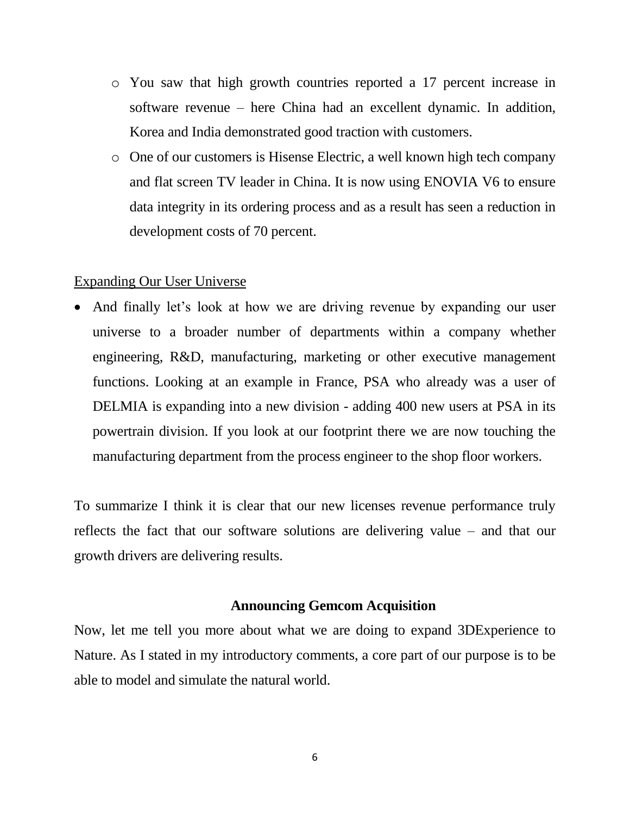- o You saw that high growth countries reported a 17 percent increase in software revenue – here China had an excellent dynamic. In addition, Korea and India demonstrated good traction with customers.
- o One of our customers is Hisense Electric, a well known high tech company and flat screen TV leader in China. It is now using ENOVIA V6 to ensure data integrity in its ordering process and as a result has seen a reduction in development costs of 70 percent.

## Expanding Our User Universe

• And finally let's look at how we are driving revenue by expanding our user universe to a broader number of departments within a company whether engineering, R&D, manufacturing, marketing or other executive management functions. Looking at an example in France, PSA who already was a user of DELMIA is expanding into a new division - adding 400 new users at PSA in its powertrain division. If you look at our footprint there we are now touching the manufacturing department from the process engineer to the shop floor workers.

To summarize I think it is clear that our new licenses revenue performance truly reflects the fact that our software solutions are delivering value – and that our growth drivers are delivering results.

## **Announcing Gemcom Acquisition**

Now, let me tell you more about what we are doing to expand 3DExperience to Nature. As I stated in my introductory comments, a core part of our purpose is to be able to model and simulate the natural world.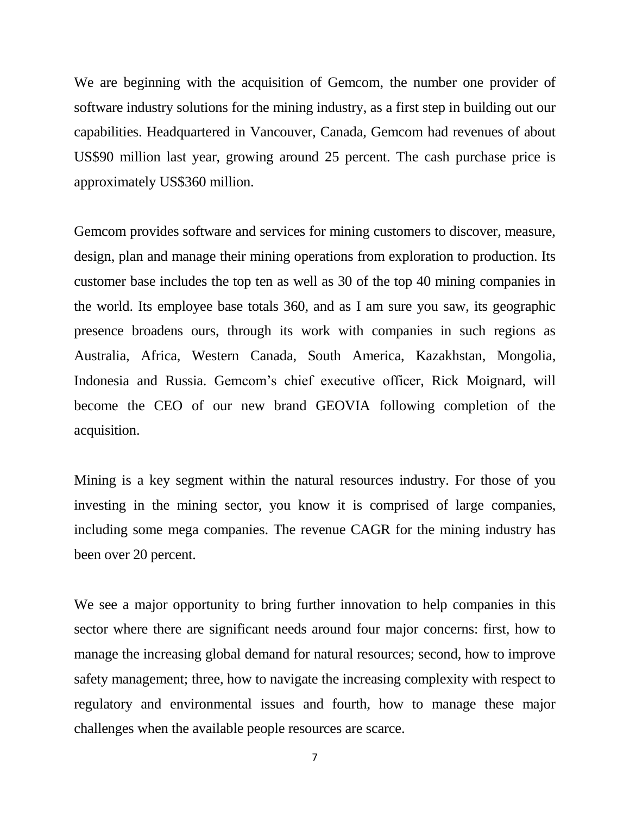We are beginning with the acquisition of Gemcom, the number one provider of software industry solutions for the mining industry, as a first step in building out our capabilities. Headquartered in Vancouver, Canada, Gemcom had revenues of about US\$90 million last year, growing around 25 percent. The cash purchase price is approximately US\$360 million.

Gemcom provides software and services for mining customers to discover, measure, design, plan and manage their mining operations from exploration to production. Its customer base includes the top ten as well as 30 of the top 40 mining companies in the world. Its employee base totals 360, and as I am sure you saw, its geographic presence broadens ours, through its work with companies in such regions as Australia, Africa, Western Canada, South America, Kazakhstan, Mongolia, Indonesia and Russia. Gemcom's chief executive officer, Rick Moignard, will become the CEO of our new brand GEOVIA following completion of the acquisition.

Mining is a key segment within the natural resources industry. For those of you investing in the mining sector, you know it is comprised of large companies, including some mega companies. The revenue CAGR for the mining industry has been over 20 percent.

We see a major opportunity to bring further innovation to help companies in this sector where there are significant needs around four major concerns: first, how to manage the increasing global demand for natural resources; second, how to improve safety management; three, how to navigate the increasing complexity with respect to regulatory and environmental issues and fourth, how to manage these major challenges when the available people resources are scarce.

7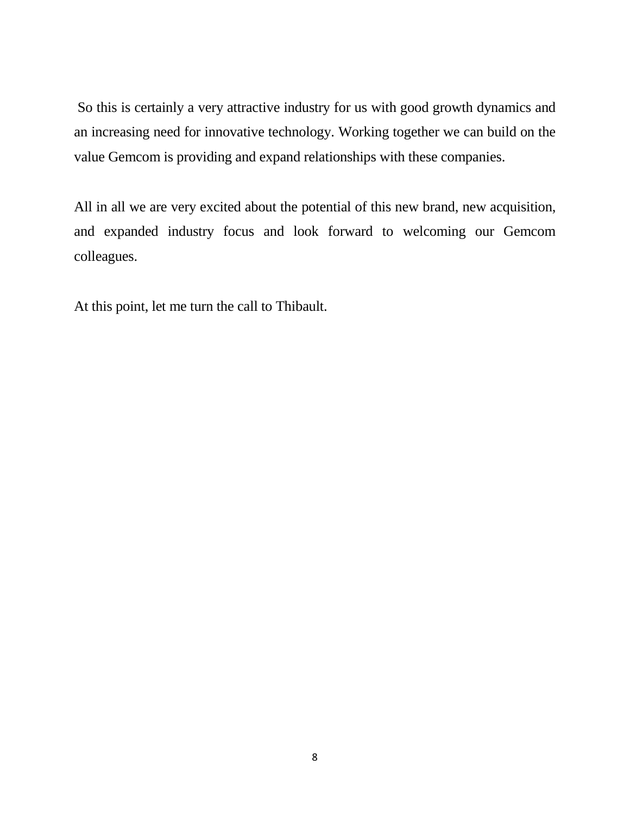So this is certainly a very attractive industry for us with good growth dynamics and an increasing need for innovative technology. Working together we can build on the value Gemcom is providing and expand relationships with these companies.

All in all we are very excited about the potential of this new brand, new acquisition, and expanded industry focus and look forward to welcoming our Gemcom colleagues.

At this point, let me turn the call to Thibault.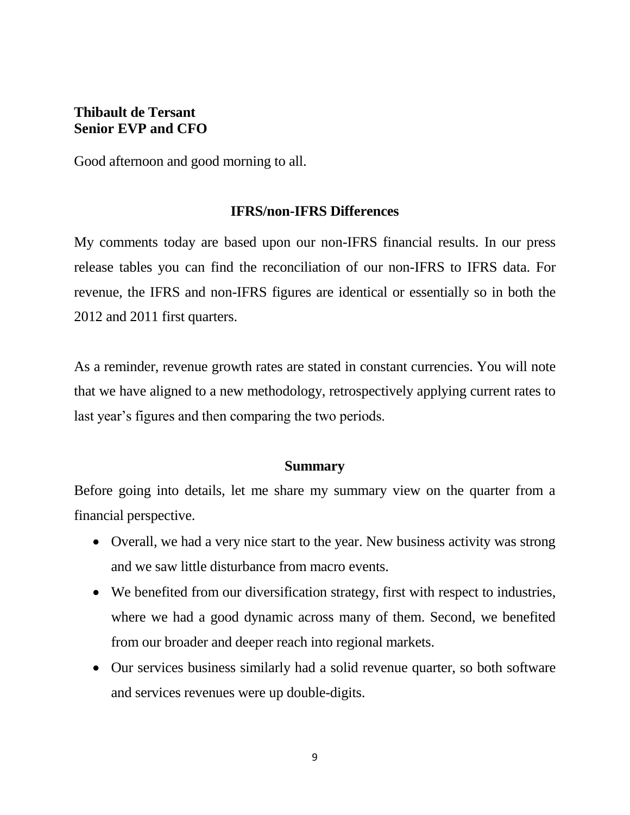# **Thibault de Tersant Senior EVP and CFO**

Good afternoon and good morning to all.

## **IFRS/non-IFRS Differences**

My comments today are based upon our non-IFRS financial results. In our press release tables you can find the reconciliation of our non-IFRS to IFRS data. For revenue, the IFRS and non-IFRS figures are identical or essentially so in both the 2012 and 2011 first quarters.

As a reminder, revenue growth rates are stated in constant currencies. You will note that we have aligned to a new methodology, retrospectively applying current rates to last year's figures and then comparing the two periods.

## **Summary**

Before going into details, let me share my summary view on the quarter from a financial perspective.

- Overall, we had a very nice start to the year. New business activity was strong and we saw little disturbance from macro events.
- We benefited from our diversification strategy, first with respect to industries, where we had a good dynamic across many of them. Second, we benefited from our broader and deeper reach into regional markets.
- Our services business similarly had a solid revenue quarter, so both software and services revenues were up double-digits.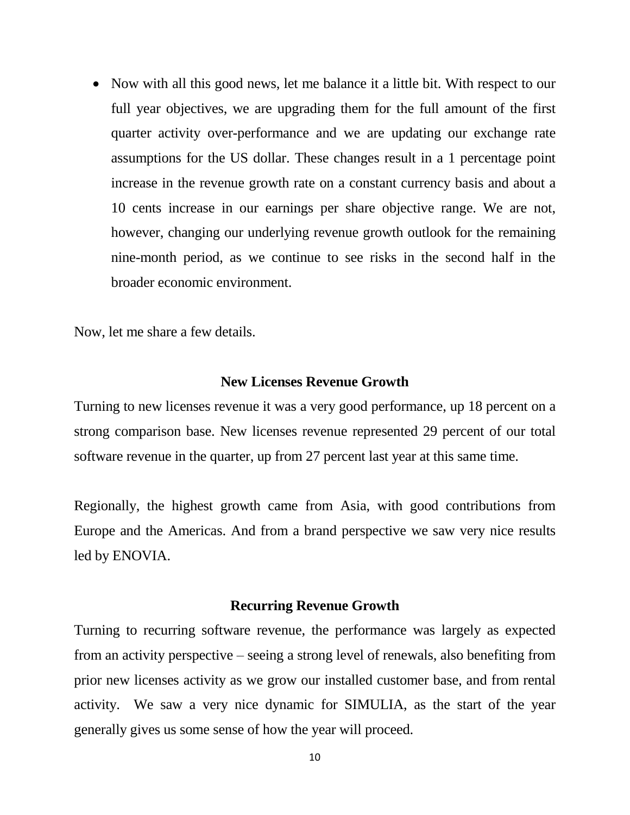• Now with all this good news, let me balance it a little bit. With respect to our full year objectives, we are upgrading them for the full amount of the first quarter activity over-performance and we are updating our exchange rate assumptions for the US dollar. These changes result in a 1 percentage point increase in the revenue growth rate on a constant currency basis and about a 10 cents increase in our earnings per share objective range. We are not, however, changing our underlying revenue growth outlook for the remaining nine-month period, as we continue to see risks in the second half in the broader economic environment.

Now, let me share a few details.

#### **New Licenses Revenue Growth**

Turning to new licenses revenue it was a very good performance, up 18 percent on a strong comparison base. New licenses revenue represented 29 percent of our total software revenue in the quarter, up from 27 percent last year at this same time.

Regionally, the highest growth came from Asia, with good contributions from Europe and the Americas. And from a brand perspective we saw very nice results led by ENOVIA.

#### **Recurring Revenue Growth**

Turning to recurring software revenue, the performance was largely as expected from an activity perspective – seeing a strong level of renewals, also benefiting from prior new licenses activity as we grow our installed customer base, and from rental activity. We saw a very nice dynamic for SIMULIA, as the start of the year generally gives us some sense of how the year will proceed.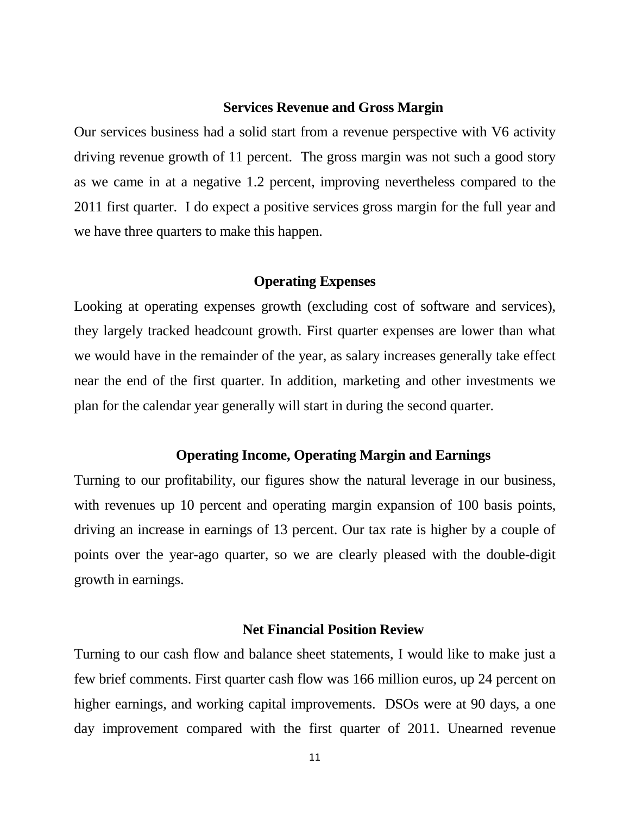#### **Services Revenue and Gross Margin**

Our services business had a solid start from a revenue perspective with V6 activity driving revenue growth of 11 percent. The gross margin was not such a good story as we came in at a negative 1.2 percent, improving nevertheless compared to the 2011 first quarter. I do expect a positive services gross margin for the full year and we have three quarters to make this happen.

#### **Operating Expenses**

Looking at operating expenses growth (excluding cost of software and services), they largely tracked headcount growth. First quarter expenses are lower than what we would have in the remainder of the year, as salary increases generally take effect near the end of the first quarter. In addition, marketing and other investments we plan for the calendar year generally will start in during the second quarter.

## **Operating Income, Operating Margin and Earnings**

Turning to our profitability, our figures show the natural leverage in our business, with revenues up 10 percent and operating margin expansion of 100 basis points, driving an increase in earnings of 13 percent. Our tax rate is higher by a couple of points over the year-ago quarter, so we are clearly pleased with the double-digit growth in earnings.

## **Net Financial Position Review**

Turning to our cash flow and balance sheet statements, I would like to make just a few brief comments. First quarter cash flow was 166 million euros, up 24 percent on higher earnings, and working capital improvements. DSOs were at 90 days, a one day improvement compared with the first quarter of 2011. Unearned revenue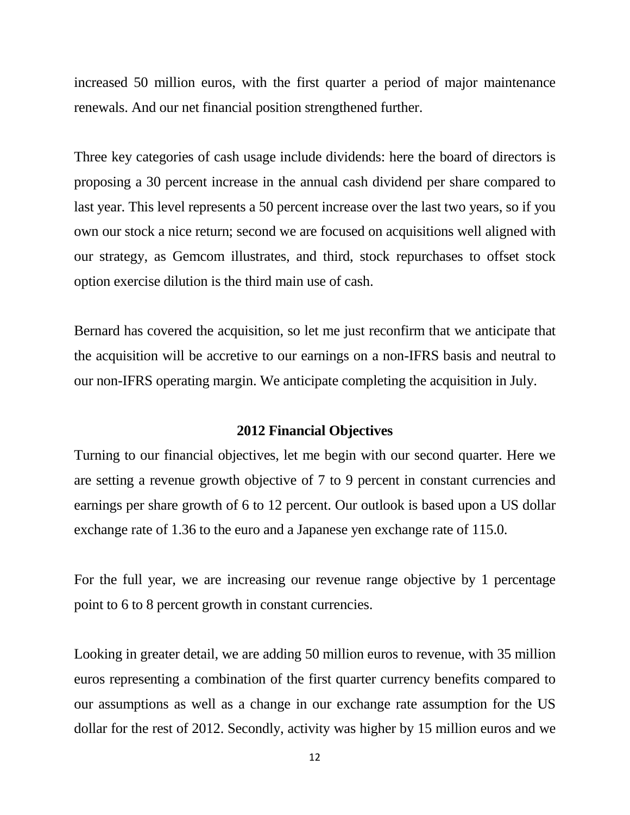increased 50 million euros, with the first quarter a period of major maintenance renewals. And our net financial position strengthened further.

Three key categories of cash usage include dividends: here the board of directors is proposing a 30 percent increase in the annual cash dividend per share compared to last year. This level represents a 50 percent increase over the last two years, so if you own our stock a nice return; second we are focused on acquisitions well aligned with our strategy, as Gemcom illustrates, and third, stock repurchases to offset stock option exercise dilution is the third main use of cash.

Bernard has covered the acquisition, so let me just reconfirm that we anticipate that the acquisition will be accretive to our earnings on a non-IFRS basis and neutral to our non-IFRS operating margin. We anticipate completing the acquisition in July.

#### **2012 Financial Objectives**

Turning to our financial objectives, let me begin with our second quarter. Here we are setting a revenue growth objective of 7 to 9 percent in constant currencies and earnings per share growth of 6 to 12 percent. Our outlook is based upon a US dollar exchange rate of 1.36 to the euro and a Japanese yen exchange rate of 115.0.

For the full year, we are increasing our revenue range objective by 1 percentage point to 6 to 8 percent growth in constant currencies.

Looking in greater detail, we are adding 50 million euros to revenue, with 35 million euros representing a combination of the first quarter currency benefits compared to our assumptions as well as a change in our exchange rate assumption for the US dollar for the rest of 2012. Secondly, activity was higher by 15 million euros and we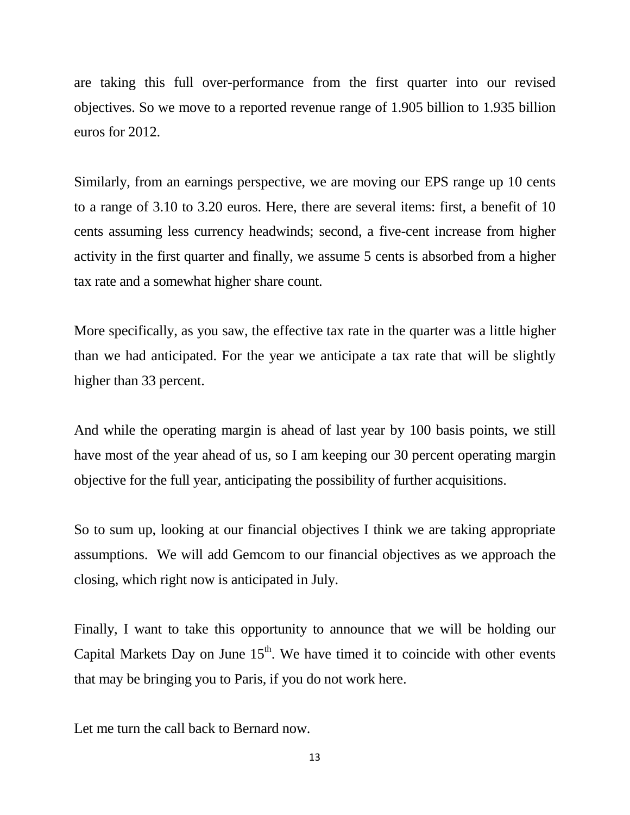are taking this full over-performance from the first quarter into our revised objectives. So we move to a reported revenue range of 1.905 billion to 1.935 billion euros for 2012.

Similarly, from an earnings perspective, we are moving our EPS range up 10 cents to a range of 3.10 to 3.20 euros. Here, there are several items: first, a benefit of 10 cents assuming less currency headwinds; second, a five-cent increase from higher activity in the first quarter and finally, we assume 5 cents is absorbed from a higher tax rate and a somewhat higher share count.

More specifically, as you saw, the effective tax rate in the quarter was a little higher than we had anticipated. For the year we anticipate a tax rate that will be slightly higher than 33 percent.

And while the operating margin is ahead of last year by 100 basis points, we still have most of the year ahead of us, so I am keeping our 30 percent operating margin objective for the full year, anticipating the possibility of further acquisitions.

So to sum up, looking at our financial objectives I think we are taking appropriate assumptions. We will add Gemcom to our financial objectives as we approach the closing, which right now is anticipated in July.

Finally, I want to take this opportunity to announce that we will be holding our Capital Markets Day on June  $15<sup>th</sup>$ . We have timed it to coincide with other events that may be bringing you to Paris, if you do not work here.

Let me turn the call back to Bernard now.